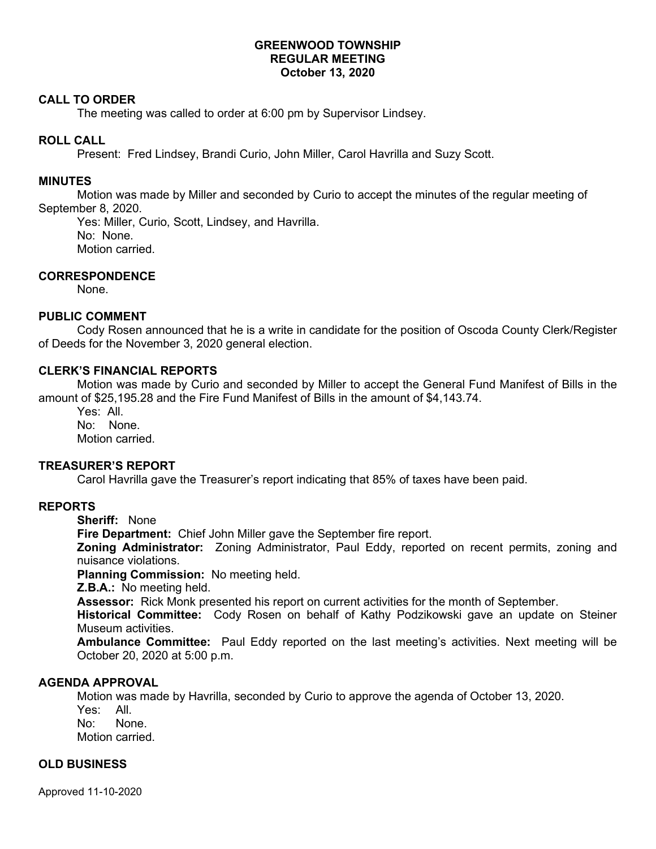## **GREENWOOD TOWNSHIP REGULAR MEETING October 13, 2020**

### **CALL TO ORDER**

The meeting was called to order at 6:00 pm by Supervisor Lindsey.

## **ROLL CALL**

Present: Fred Lindsey, Brandi Curio, John Miller, Carol Havrilla and Suzy Scott.

#### **MINUTES**

Motion was made by Miller and seconded by Curio to accept the minutes of the regular meeting of September 8, 2020.

Yes: Miller, Curio, Scott, Lindsey, and Havrilla. No: None. Motion carried.

### **CORRESPONDENCE**

None.

### **PUBLIC COMMENT**

Cody Rosen announced that he is a write in candidate for the position of Oscoda County Clerk/Register of Deeds for the November 3, 2020 general election.

### **CLERK'S FINANCIAL REPORTS**

Motion was made by Curio and seconded by Miller to accept the General Fund Manifest of Bills in the amount of \$25,195.28 and the Fire Fund Manifest of Bills in the amount of \$4,143.74.

Yes: All. No: None. Motion carried.

# **TREASURER'S REPORT**

Carol Havrilla gave the Treasurer's report indicating that 85% of taxes have been paid.

### **REPORTS**

**Sheriff:** None

**Fire Department:** Chief John Miller gave the September fire report.

**Zoning Administrator:** Zoning Administrator, Paul Eddy, reported on recent permits, zoning and nuisance violations.

**Planning Commission:** No meeting held.

**Z.B.A.:** No meeting held.

**Assessor:** Rick Monk presented his report on current activities for the month of September.

**Historical Committee:** Cody Rosen on behalf of Kathy Podzikowski gave an update on Steiner Museum activities.

**Ambulance Committee:** Paul Eddy reported on the last meeting's activities. Next meeting will be October 20, 2020 at 5:00 p.m.

### **AGENDA APPROVAL**

Motion was made by Havrilla, seconded by Curio to approve the agenda of October 13, 2020.

Yes: All. No: None.

Motion carried.

### **OLD BUSINESS**

Approved 11-10-2020